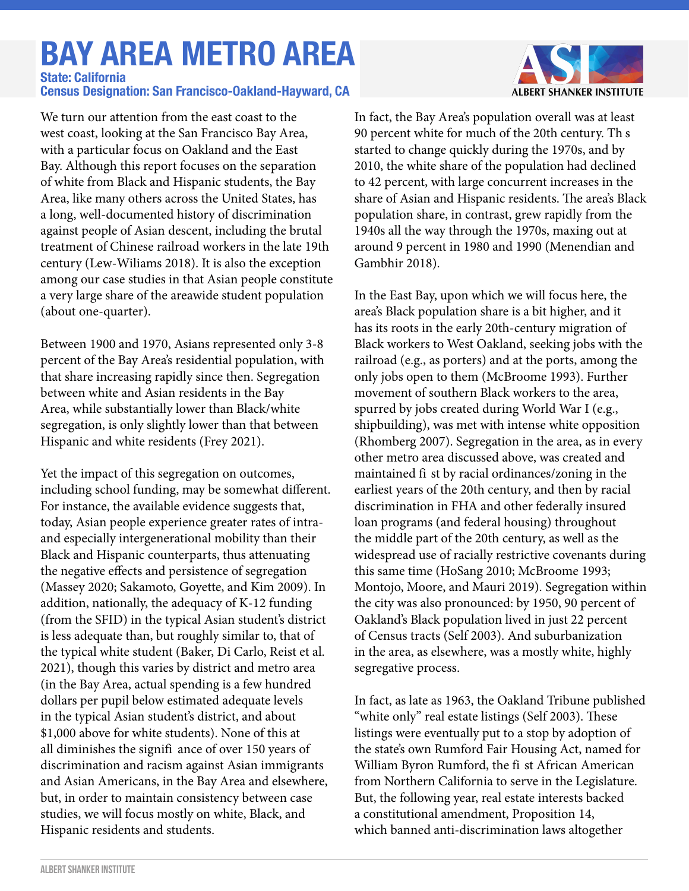# **BAY AREA METRO AREA**

#### **Census Designation: San Francisco-Oakland-Hayward, CA State: California**

We turn our attention from the east coast to the west coast, looking at the San Francisco Bay Area, with a particular focus on Oakland and the East Bay. Although this report focuses on the separation of white from Black and Hispanic students, the Bay Area, like many others across the United States, has a long, well-documented history of discrimination against people of Asian descent, including the brutal treatment of Chinese railroad workers in the late 19th century (Lew-Wiliams 2018). It is also the exception among our case studies in that Asian people constitute a very large share of the areawide student population (about one-quarter).

Between 1900 and 1970, Asians represented only 3-8 percent of the Bay Area's residential population, with that share increasing rapidly since then. Segregation between white and Asian residents in the Bay Area, while substantially lower than Black/white segregation, is only slightly lower than that between Hispanic and white residents (Frey 2021).

Yet the impact of this segregation on outcomes, including school funding, may be somewhat different. For instance, the available evidence suggests that, today, Asian people experience greater rates of intraand especially intergenerational mobility than their Black and Hispanic counterparts, thus attenuating the negative effects and persistence of segregation (Massey 2020; Sakamoto, Goyette, and Kim 2009). In addition, nationally, the adequacy of K-12 funding (from the SFID) in the typical Asian student's district is less adequate than, but roughly similar to, that of the typical white student (Baker, Di Carlo, Reist et al. 2021), though this varies by district and metro area (in the Bay Area, actual spending is a few hundred dollars per pupil below estimated adequate levels in the typical Asian student's district, and about \$1,000 above for white students). None of this at all diminishes the signifi ance of over 150 years of discrimination and racism against Asian immigrants and Asian Americans, in the Bay Area and elsewhere, but, in order to maintain consistency between case studies, we will focus mostly on white, Black, and Hispanic residents and students.



In fact, the Bay Area's population overall was at least 90 percent white for much of the 20th century. Th s started to change quickly during the 1970s, and by 2010, the white share of the population had declined to 42 percent, with large concurrent increases in the share of Asian and Hispanic residents. The area's Black population share, in contrast, grew rapidly from the 1940s all the way through the 1970s, maxing out at around 9 percent in 1980 and 1990 (Menendian and Gambhir 2018).

In the East Bay, upon which we will focus here, the area's Black population share is a bit higher, and it has its roots in the early 20th-century migration of Black workers to West Oakland, seeking jobs with the railroad (e.g., as porters) and at the ports, among the only jobs open to them (McBroome 1993). Further movement of southern Black workers to the area, spurred by jobs created during World War I (e.g., shipbuilding), was met with intense white opposition (Rhomberg 2007). Segregation in the area, as in every other metro area discussed above, was created and maintained fi st by racial ordinances/zoning in the earliest years of the 20th century, and then by racial discrimination in FHA and other federally insured loan programs (and federal housing) throughout the middle part of the 20th century, as well as the widespread use of racially restrictive covenants during this same time (HoSang 2010; McBroome 1993; Montojo, Moore, and Mauri 2019). Segregation within the city was also pronounced: by 1950, 90 percent of Oakland's Black population lived in just 22 percent of Census tracts (Self 2003). And suburbanization in the area, as elsewhere, was a mostly white, highly segregative process.

In fact, as late as 1963, the Oakland Tribune published "white only" real estate listings (Self 2003). These listings were eventually put to a stop by adoption of the state's own Rumford Fair Housing Act, named for William Byron Rumford, the fi st African American from Northern California to serve in the Legislature. But, the following year, real estate interests backed a constitutional amendment, Proposition 14, which banned anti-discrimination laws altogether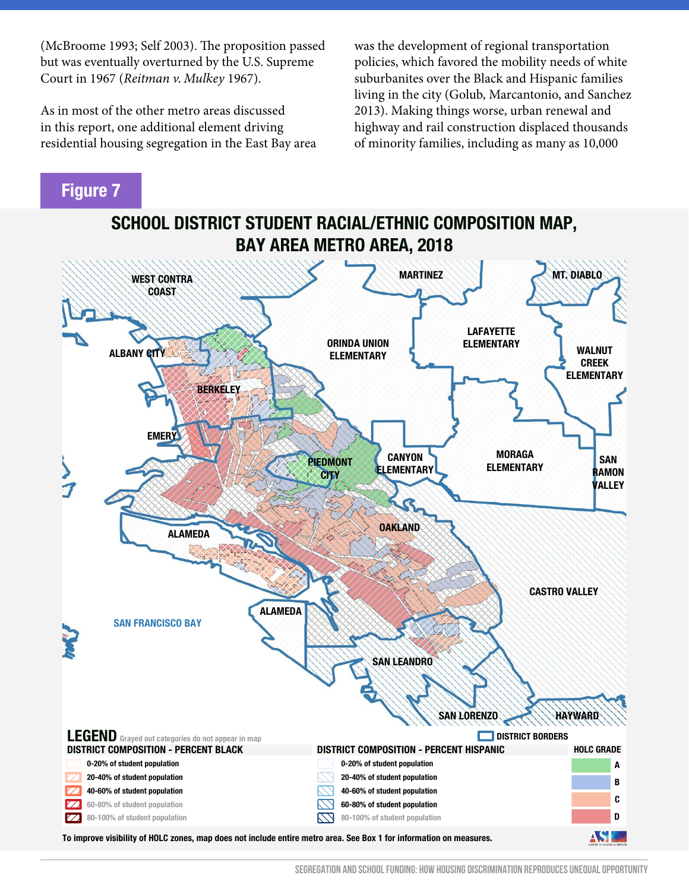(McBroome 1993; Self 2003). The proposition passed but was eventually overturned by the U.S. Supreme Court in 1967 (*Reitman v. Mulkey* 1967).

As in most of the other metro areas discussed in this report, one additional element driving residential housing segregation in the East Bay area was the development of regional transportation policies, which favored the mobility needs of white suburbanites over the Black and Hispanic families living in the city (Golub, Marcantonio, and Sanchez 2013). Making things worse, urban renewal and highway and rail construction displaced thousands of minority families, including as many as 10,000

#### **Figure 7**



**To improve visibility of HOLC zones, map does not include entire metro area. See Box 1 for information on measures.**

**SEGREGATION AND SCHOOL FUNDING: HOW HOUSING DISCRIMINATION REPRODUCES UNEQUAL OPPORTUNITY**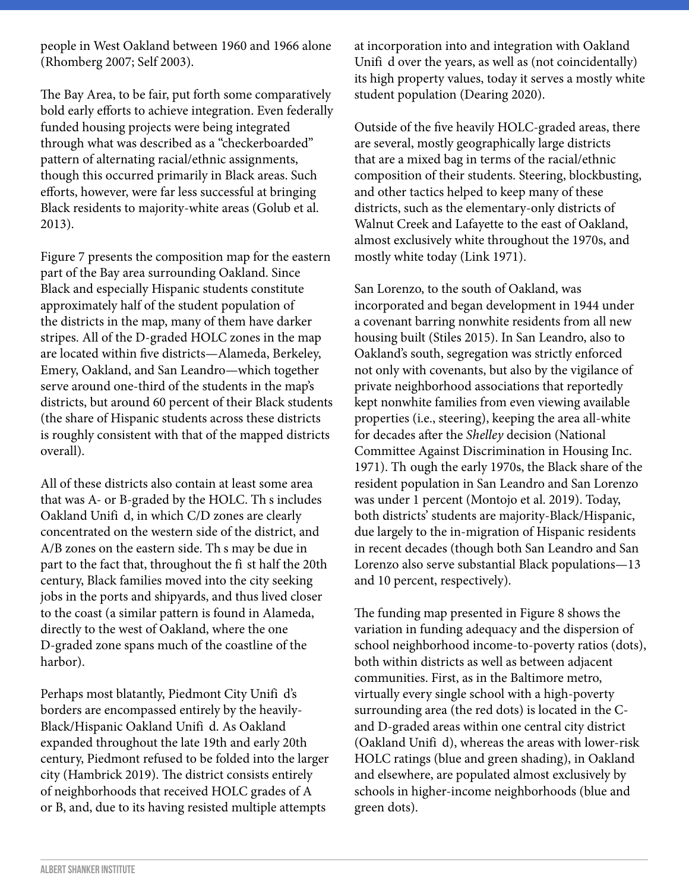people in West Oakland between 1960 and 1966 alone (Rhomberg 2007; Self 2003).

The Bay Area, to be fair, put forth some comparatively bold early efforts to achieve integration. Even federally funded housing projects were being integrated through what was described as a "checkerboarded" pattern of alternating racial/ethnic assignments, though this occurred primarily in Black areas. Such efforts, however, were far less successful at bringing Black residents to majority-white areas (Golub et al. 2013).

Figure 7 presents the composition map for the eastern part of the Bay area surrounding Oakland. Since Black and especially Hispanic students constitute approximately half of the student population of the districts in the map, many of them have darker stripes. All of the D-graded HOLC zones in the map are located within five districts—Alameda, Berkeley, Emery, Oakland, and San Leandro—which together serve around one-third of the students in the map's districts, but around 60 percent of their Black students (the share of Hispanic students across these districts is roughly consistent with that of the mapped districts overall).

All of these districts also contain at least some area that was A- or B-graded by the HOLC. Th s includes Oakland Unifi d, in which C/D zones are clearly concentrated on the western side of the district, and A/B zones on the eastern side. Th s may be due in part to the fact that, throughout the fi st half the 20th century, Black families moved into the city seeking jobs in the ports and shipyards, and thus lived closer to the coast (a similar pattern is found in Alameda, directly to the west of Oakland, where the one D-graded zone spans much of the coastline of the harbor).

Perhaps most blatantly, Piedmont City Unifi d's borders are encompassed entirely by the heavily-Black/Hispanic Oakland Unifi d. As Oakland expanded throughout the late 19th and early 20th century, Piedmont refused to be folded into the larger city (Hambrick 2019). The district consists entirely of neighborhoods that received HOLC grades of A or B, and, due to its having resisted multiple attempts

at incorporation into and integration with Oakland Unifi d over the years, as well as (not coincidentally) its high property values, today it serves a mostly white student population (Dearing 2020).

Outside of the five heavily HOLC-graded areas, there are several, mostly geographically large districts that are a mixed bag in terms of the racial/ethnic composition of their students. Steering, blockbusting, and other tactics helped to keep many of these districts, such as the elementary-only districts of Walnut Creek and Lafayette to the east of Oakland, almost exclusively white throughout the 1970s, and mostly white today (Link 1971).

San Lorenzo, to the south of Oakland, was incorporated and began development in 1944 under a covenant barring nonwhite residents from all new housing built (Stiles 2015). In San Leandro, also to Oakland's south, segregation was strictly enforced not only with covenants, but also by the vigilance of private neighborhood associations that reportedly kept nonwhite families from even viewing available properties (i.e., steering), keeping the area all-white for decades after the *Shelley* decision (National Committee Against Discrimination in Housing Inc. 1971). Th ough the early 1970s, the Black share of the resident population in San Leandro and San Lorenzo was under 1 percent (Montojo et al. 2019). Today, both districts' students are majority-Black/Hispanic, due largely to the in-migration of Hispanic residents in recent decades (though both San Leandro and San Lorenzo also serve substantial Black populations—13 and 10 percent, respectively).

The funding map presented in Figure 8 shows the variation in funding adequacy and the dispersion of school neighborhood income-to-poverty ratios (dots), both within districts as well as between adjacent communities. First, as in the Baltimore metro, virtually every single school with a high-poverty surrounding area (the red dots) is located in the Cand D-graded areas within one central city district (Oakland Unifi d), whereas the areas with lower-risk HOLC ratings (blue and green shading), in Oakland and elsewhere, are populated almost exclusively by schools in higher-income neighborhoods (blue and green dots).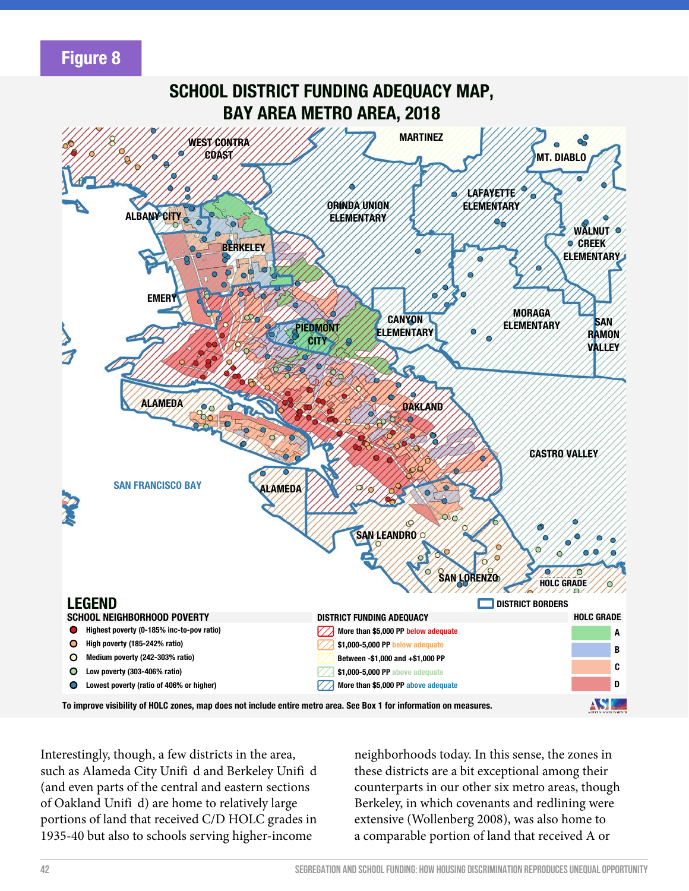### **Figure 8**



Interestingly, though, a few districts in the area, such as Alameda City Unifi d and Berkeley Unifi d (and even parts of the central and eastern sections of Oakland Unifi d) are home to relatively large portions of land that received C/D HOLC grades in 1935-40 but also to schools serving higher-income

neighborhoods today. In this sense, the zones in these districts are a bit exceptional among their counterparts in our other six metro areas, though Berkeley, in which covenants and redlining were extensive (Wollenberg 2008), was also home to a comparable portion of land that received A or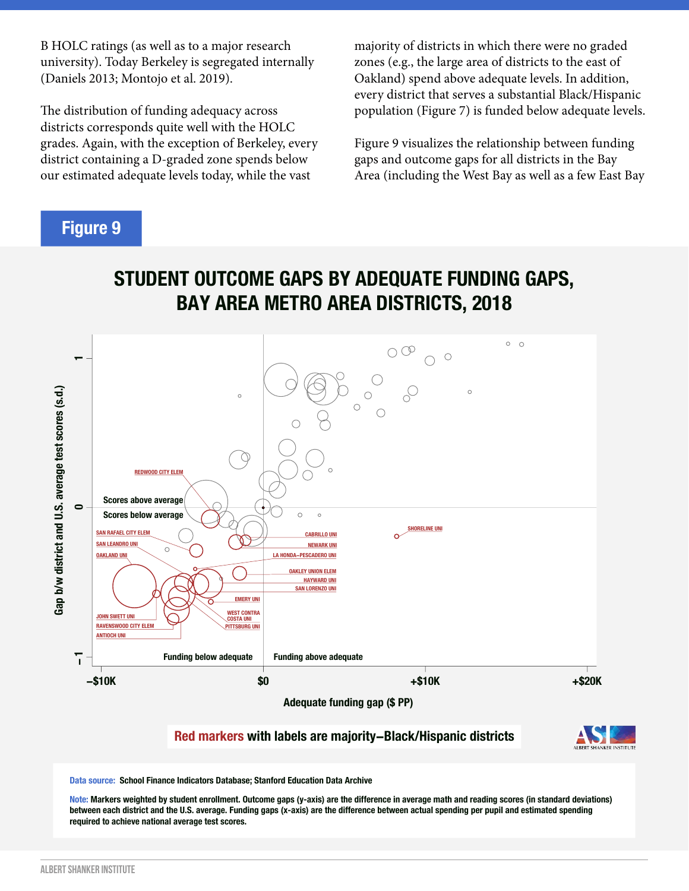B HOLC ratings (as well as to a major research university). Today Berkeley is segregated internally (Daniels 2013; Montojo et al. 2019).

The distribution of funding adequacy across districts corresponds quite well with the HOLC grades. Again, with the exception of Berkeley, every district containing a D-graded zone spends below our estimated adequate levels today, while the vast

majority of districts in which there were no graded zones (e.g., the large area of districts to the east of Oakland) spend above adequate levels. In addition, every district that serves a substantial Black/Hispanic population (Figure 7) is funded below adequate levels.

Figure 9 visualizes the relationship between funding gaps and outcome gaps for all districts in the Bay Area (including the West Bay as well as a few East Bay

#### **Figure 9**





**Red markers with labels are majority−Black/Hispanic districts**



**Data source: School Finance Indicators Database; Stanford Education Data Archive**

**Note: Markers weighted by student enrollment. Outcome gaps (y-axis) are the difference in average math and reading scores (in standard deviations) between each district and the U.S. average. Funding gaps (x-axis) are the difference between actual spending per pupil and estimated spending required to achieve national average test scores.**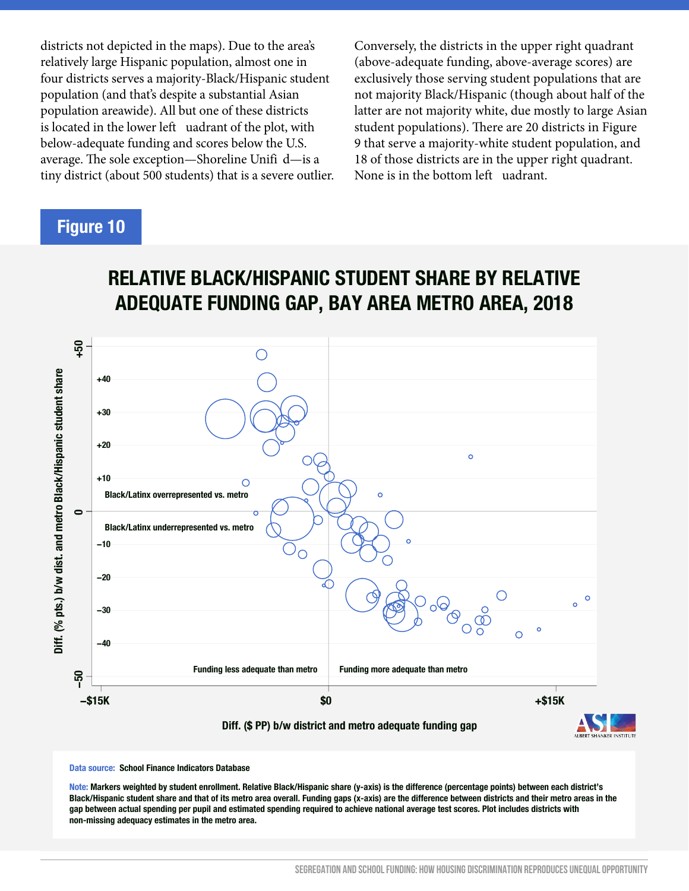districts not depicted in the maps). Due to the area's relatively large Hispanic population, almost one in four districts serves a majority-Black/Hispanic student population (and that's despite a substantial Asian population areawide). All but one of these districts is located in the lower left uadrant of the plot, with below-adequate funding and scores below the U.S. average. The sole exception—Shoreline Unifi d—is a tiny district (about 500 students) that is a severe outlier. Conversely, the districts in the upper right quadrant (above-adequate funding, above-average scores) are exclusively those serving student populations that are not majority Black/Hispanic (though about half of the latter are not majority white, due mostly to large Asian student populations). There are 20 districts in Figure 9 that serve a majority-white student population, and 18 of those districts are in the upper right quadrant. None is in the bottom left uadrant.

# **Figure 10**

## **RELATIVE BLACK/HISPANIC STUDENT SHARE BY RELATIVE ADEQUATE FUNDING GAP, BAY AREA METRO AREA, 2018**



**Data source: School Finance Indicators Database**

**Note: Markers weighted by student enrollment. Relative Black/Hispanic share (y-axis) is the difference (percentage points) between each district's Black/Hispanic student share and that of its metro area overall. Funding gaps (x-axis) are the difference between districts and their metro areas in the gap between actual spending per pupil and estimated spending required to achieve national average test scores. Plot includes districts with non-missing adequacy estimates in the metro area.**